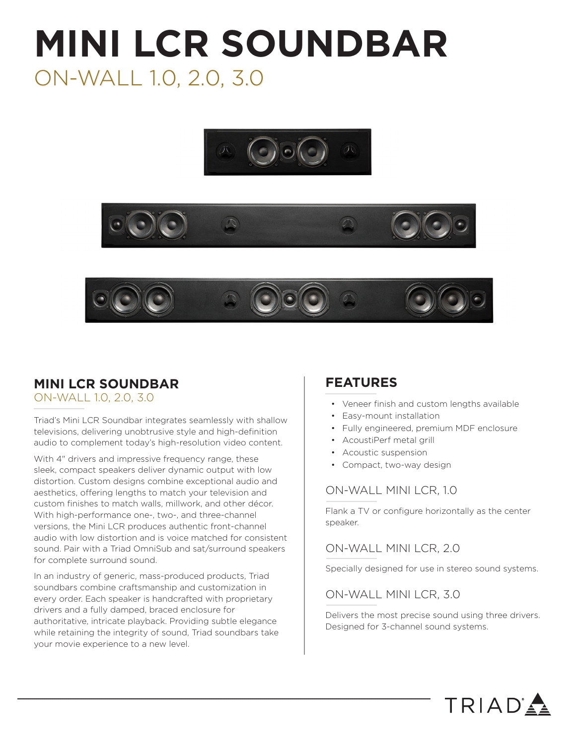# **MINI LCR SOUNDBAR** ON-WALL 1.0, 2.0, 3.0







# **MINI LCR SOUNDBAR**

#### ON-WALL 1.0, 2.0, 3.0

Triad's Mini LCR Soundbar integrates seamlessly with shallow televisions, delivering unobtrusive style and high-definition audio to complement today's high-resolution video content.

With 4" drivers and impressive frequency range, these sleek, compact speakers deliver dynamic output with low distortion. Custom designs combine exceptional audio and aesthetics, offering lengths to match your television and custom finishes to match walls, millwork, and other décor. With high-performance one-, two-, and three-channel versions, the Mini LCR produces authentic front-channel audio with low distortion and is voice matched for consistent sound. Pair with a Triad OmniSub and sat/surround speakers for complete surround sound.

In an industry of generic, mass-produced products, Triad soundbars combine craftsmanship and customization in every order. Each speaker is handcrafted with proprietary drivers and a fully damped, braced enclosure for authoritative, intricate playback. Providing subtle elegance while retaining the integrity of sound. Triad soundbars take your movie experience to a new level.

### **FEATURES**

- Veneer finish and custom lengths available
- Easy-mount installation
- Fully engineered, premium MDF enclosure
- AcoustiPerf metal grill
- Acoustic suspension
- Compact, two-way design

#### ON-WALL MINI LCR, 1.0

Flank a TV or configure horizontally as the center speaker.

#### ON-WALL MINI LCR, 2.0

Specially designed for use in stereo sound systems.

#### ON-WALL MINI LCR, 3.0

Delivers the most precise sound using three drivers. Designed for 3-channel sound systems.